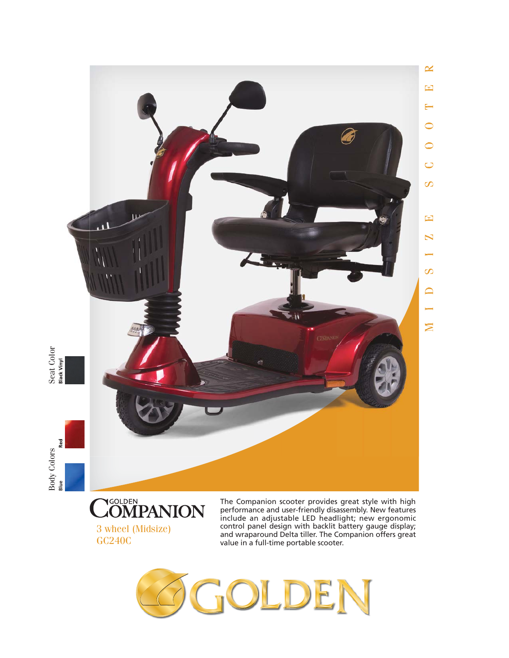



The Companion scooter provides great style with high performance and user-friendly disassembly. New features include an adjustable LED headlight; new ergonomic control panel design with backlit battery gauge display; and wraparound Delta tiller. The Companion offers great value in a full-time portable scooter.